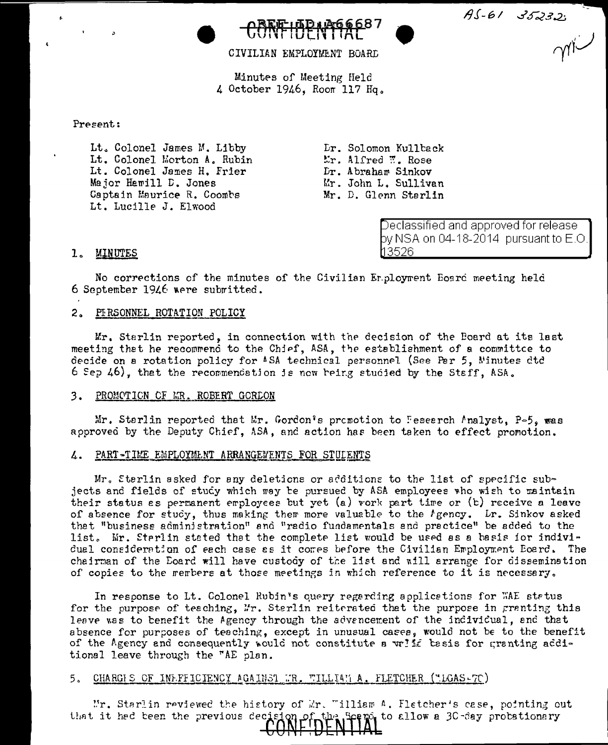$75 - 61$  35232



CIVILIAN EMPLOYMENT BOARD

Minutes of Meeting Held 4 October 1946. Room 117 Hq.

# Present:

Lt. Colonel James M. Libby Lt. Colonel Morton A. Rubin Lt. Colonel James H. Frier Major Hamill D. Jones Captain Maurice R. Coombs Lt. Lucille J. Elwood

Lr. Solomon Kullback Er. Alfred W. Rose Dr. Abraham Sinkov Mr. John L. Sullivan Mr. D. Glenn Starlin

> Declassified and approved for release by NSA on 04-18-2014  $\,$  pursuant to E.O.  $\,$ ทจรวค

# 1. MINUTES

No corrections of the minutes of the Civilian Er.ployment Eoard meeting held 6 September 1946 were submitted.

# 2. PERSONNEL ROTATION POLICY

Mr. Starlin reported, in connection with the decision of the Board at its last meeting that he recommend to the Chief, ASA, the establishment of a committee to decide on a rotation policy for ASA technical personnel (See Per 5, Ninutes dtd 6 Sep 46), that the recommendation is now reing studied by the Staff. ASA.

#### $3.$ PROMOTION OF MR. ROBERT GORLON

Mr. Sterlin reported that Mr. Gordon's promotion to Feseerch Analyst, P=5. was approved by the Deputy Chief, ASA, and action has been taken to effect promotion.

# 4. PART-TIME EMPLOYMENT ARRANGEMENTS FOR STULENTS

Mr. Sterlin asked for any deletions or additions to the list of specific subjects and fields of study which may be pursued by ASA employees who wish to maintain their status as permanent employees but yet (a) vork part time or (b) receive a leave of absence for study, thus making them more valuable to the *I* gency. Lr. Sinkov asked that "business administration" and "radio fundamentals and practice" be added to the list. Mr. Sterlin stated that the complete list would be used as a basis for individual consideration of each case as it comes before the Civilian Employment Eoard. The chairman of the Eoard will have custody of the list and will arrange for dissemination of copies to the members at those meetings in which reference to it is necessary.

In response to Lt. Colonel Rubin's query regarding applications for WAE status for the purpose of teaching, Mr. Sterlin reiterated that the purpose in granting this leave was to benefit the Agency through the advencement of the individual, and that absence for purposes of teaching, except in unusual cases, would not be to the benefit of the Agency and consequently would not constitute a write basis for granting additional leave through the "AE plan.

#### 5. CHARGIS OF INE-FFICIENCY AGAINST WR. WILLIAM A. FLETCHER ("LGAS-7C)

Mr. Starlin reviewed the history of Mr. "illiam A. Fletcher's case, pointing out the Seemo to allow a 30-day probationary that it had been the previous decision \_cf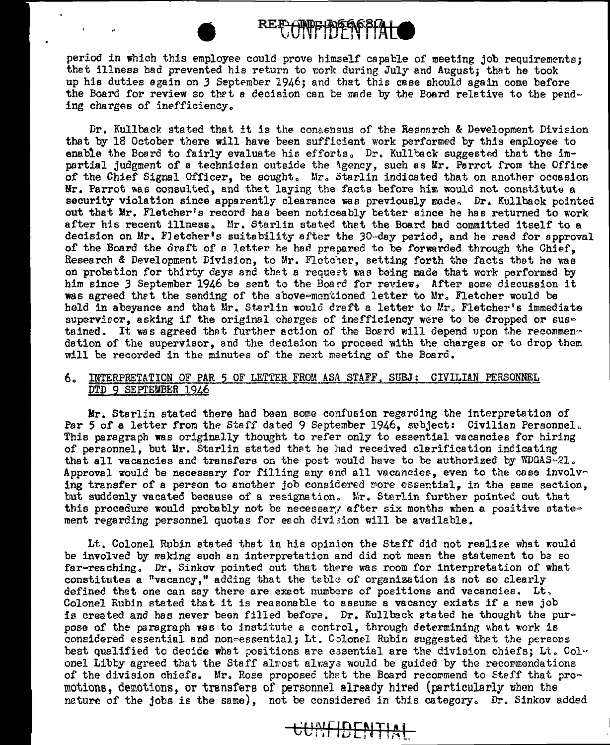

period in which this employee could prove himself capable of meeting job requirements; thet illness had prevented his return to work during July and August; that he took up his duties again on 3 September 1946; and that this case should again come before the Board for review so that a decision can be made by the Board relative to the pending charges of inefficiency.

Dr. Kullback stated that it is the consensus of the Rescarch & Development Division that by 18 October there will have been sufficient work performed by this employee to enable the Board to fairly evaluate his efforts. Dr. Kullback suggested that the impartial judgment of a technician outside the \gency, such as Mr. Perrot from the Office of the Chief Signal Officer, be sought. Mr. Starlin indicated that on another occasion Hr. Parrot was consulted, and thet laying the facts before him would not constitute a security violation since apparently clearance was previously made. Dr. Kullback pointed out that Mr. Fletcher's record has been noticeably better since he has returned to work after his recent illness. Mr. Starlin stated thet the Board had committed itself to a decision on Mr. FJetcher's suitability after the 30~day period, and he read for approval of the Board the draft of a letter he had prepared to be forwarded through the Chief, Research & Development Division, to Mr. Fletcher, setting forth the facts that he was on probation for thirty days and that a request was being made that work performed by him since *3* September 1946 be sent to the Board for review~ After some discussion it was agreed thet the sending of the above-mentioned letter to Mr. Fletcher would be held in abeyance and that Mr. Starlin would draft a letter to Mr. Fletcher's immediate supervieor, asking if the original charges of inefficiency were to be dropped or sustained. It was agreed that further action of the Board will depend upon the recommendation of the supervisor, and the decision to proceed with the charges or to drop them will be recorded in the minutes of the next meeting of the Board.

# 6. INTERPRETATION OF PAR 5 OF LETTER FROM ASA STAFF, SUBJ: CIVILIAN PERSONNEL DTD 9 SEPTEMBER 1946

Mr. Starlin stated there had been some confusion regarding the interpretation of Par 5 of a letter from the Staff dated 9 September 1946, subject: Civilian Personnel. This paragraph was originally thought to refer only to essential vacancies for hiring of personnel, but Mr. Starlin stated that he had received clarification indicating that all vacancies and transfers on the post would have to be authorized by  $WDGAS-21$ . Approval would be necessary for filling any and all vacancies, even to the case involving transfer of a person to another job considered more essential, in the same section, but suddenly vacated because of a resignation. Mr. Starlin further pointed out that this procedure would probably not be necessary after six months when a positive statement regarding personnel quotas for each division will be available.

Lt. Colonel Rubin stated that in his opinion the Staff did not realize what would be involved by making such an interpretation and did not mean the statement to be so far-reaching. Dr. Sinkov pointed out that there was room for interpretation of what constitutes a "vacancy," adding that the table of organization is not so clearly defined that one can say there are exact numbers of positions and vacancies. Lt, Colonel Rubjn stated that it is reasonable to assume a vacancy exists if e new job is created and has never been filled before. Dr. Kullback stated he thought the purpose of the paragraph was to institute a control, through determining what work is considered essential and non=essential; Lt. Colonel Rubin suggested thet the persons best qualified to decide what positions are essential are the division chiefs; Lt. Colonel Libby agreed that the Staff almost always would be guided by the recommendations of the division chiefs. Mr. Rose proposed that the Board recommend to Staff that  $pro$ motions, dereotions, or transfers of personnel already hired (particularly when the nature of the jobs is the same), not be considered in this category. Dr. Sinkov added